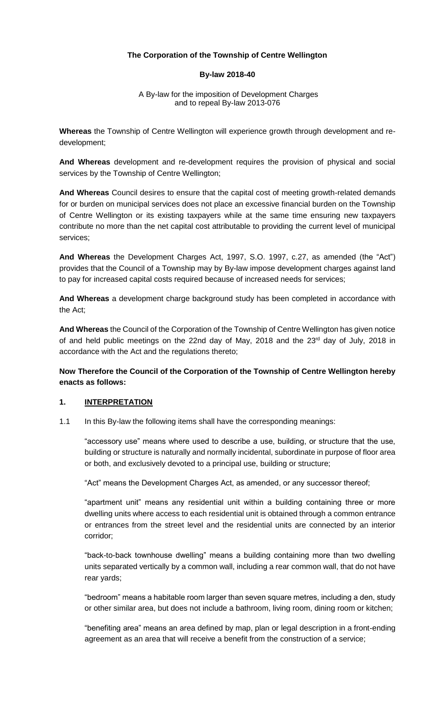## **The Corporation of the Township of Centre Wellington**

#### **By-law 2018-40**

#### A By-law for the imposition of Development Charges and to repeal By-law 2013-076

**Whereas** the Township of Centre Wellington will experience growth through development and redevelopment;

**And Whereas** development and re-development requires the provision of physical and social services by the Township of Centre Wellington;

**And Whereas** Council desires to ensure that the capital cost of meeting growth-related demands for or burden on municipal services does not place an excessive financial burden on the Township of Centre Wellington or its existing taxpayers while at the same time ensuring new taxpayers contribute no more than the net capital cost attributable to providing the current level of municipal services;

**And Whereas** the Development Charges Act, 1997, S.O. 1997, c.27, as amended (the "Act") provides that the Council of a Township may by By-law impose development charges against land to pay for increased capital costs required because of increased needs for services;

**And Whereas** a development charge background study has been completed in accordance with the Act;

**And Whereas** the Council of the Corporation of the Township of Centre Wellington has given notice of and held public meetings on the 22nd day of May, 2018 and the 23<sup>rd</sup> day of July, 2018 in accordance with the Act and the regulations thereto;

**Now Therefore the Council of the Corporation of the Township of Centre Wellington hereby enacts as follows:** 

### **1. INTERPRETATION**

1.1 In this By-law the following items shall have the corresponding meanings:

"accessory use" means where used to describe a use, building, or structure that the use, building or structure is naturally and normally incidental, subordinate in purpose of floor area or both, and exclusively devoted to a principal use, building or structure;

"Act" means the Development Charges Act, as amended, or any successor thereof;

"apartment unit" means any residential unit within a building containing three or more dwelling units where access to each residential unit is obtained through a common entrance or entrances from the street level and the residential units are connected by an interior corridor;

"back-to-back townhouse dwelling" means a building containing more than two dwelling units separated vertically by a common wall, including a rear common wall, that do not have rear yards;

"bedroom" means a habitable room larger than seven square metres, including a den, study or other similar area, but does not include a bathroom, living room, dining room or kitchen;

"benefiting area" means an area defined by map, plan or legal description in a front-ending agreement as an area that will receive a benefit from the construction of a service;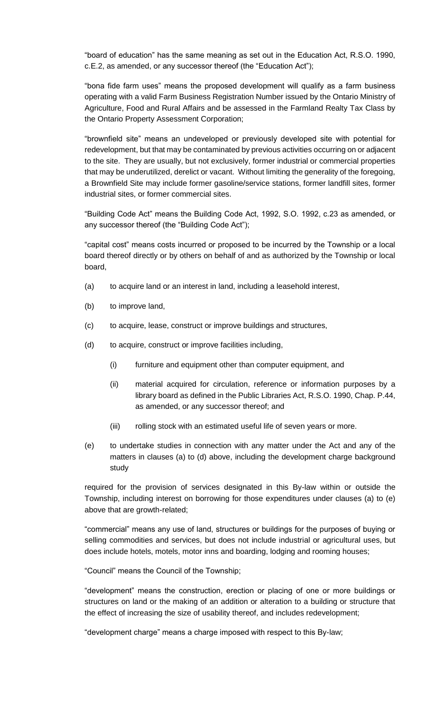"board of education" has the same meaning as set out in the Education Act, R.S.O. 1990, c.E.2, as amended, or any successor thereof (the "Education Act");

"bona fide farm uses" means the proposed development will qualify as a farm business operating with a valid Farm Business Registration Number issued by the Ontario Ministry of Agriculture, Food and Rural Affairs and be assessed in the Farmland Realty Tax Class by the Ontario Property Assessment Corporation;

"brownfield site" means an undeveloped or previously developed site with potential for redevelopment, but that may be contaminated by previous activities occurring on or adjacent to the site. They are usually, but not exclusively, former industrial or commercial properties that may be underutilized, derelict or vacant. Without limiting the generality of the foregoing, a Brownfield Site may include former gasoline/service stations, former landfill sites, former industrial sites, or former commercial sites.

"Building Code Act" means the Building Code Act, 1992, S.O. 1992, c.23 as amended, or any successor thereof (the "Building Code Act");

"capital cost" means costs incurred or proposed to be incurred by the Township or a local board thereof directly or by others on behalf of and as authorized by the Township or local board,

- (a) to acquire land or an interest in land, including a leasehold interest,
- (b) to improve land,
- (c) to acquire, lease, construct or improve buildings and structures,
- (d) to acquire, construct or improve facilities including,
	- (i) furniture and equipment other than computer equipment, and
	- (ii) material acquired for circulation, reference or information purposes by a library board as defined in the Public Libraries Act, R.S.O. 1990, Chap. P.44, as amended, or any successor thereof; and
	- (iii) rolling stock with an estimated useful life of seven years or more.
- (e) to undertake studies in connection with any matter under the Act and any of the matters in clauses (a) to (d) above, including the development charge background study

required for the provision of services designated in this By-law within or outside the Township, including interest on borrowing for those expenditures under clauses (a) to (e) above that are growth-related;

"commercial" means any use of land, structures or buildings for the purposes of buying or selling commodities and services, but does not include industrial or agricultural uses, but does include hotels, motels, motor inns and boarding, lodging and rooming houses;

"Council" means the Council of the Township;

"development" means the construction, erection or placing of one or more buildings or structures on land or the making of an addition or alteration to a building or structure that the effect of increasing the size of usability thereof, and includes redevelopment;

"development charge" means a charge imposed with respect to this By-law;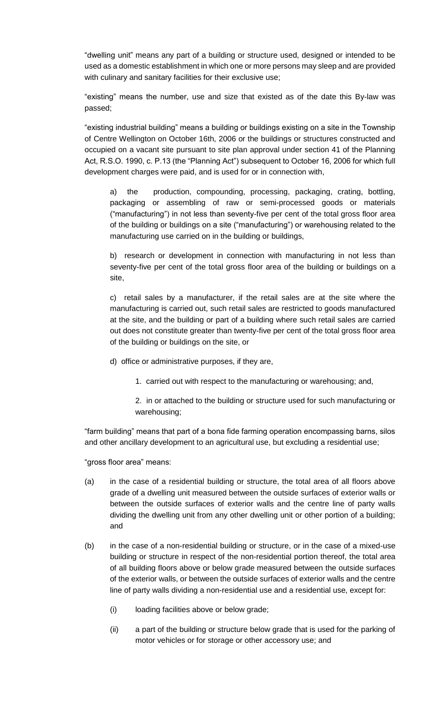"dwelling unit" means any part of a building or structure used, designed or intended to be used as a domestic establishment in which one or more persons may sleep and are provided with culinary and sanitary facilities for their exclusive use;

"existing" means the number, use and size that existed as of the date this By-law was passed;

"existing industrial building" means a building or buildings existing on a site in the Township of Centre Wellington on October 16th, 2006 or the buildings or structures constructed and occupied on a vacant site pursuant to site plan approval under section 41 of the Planning Act, R.S.O. 1990, c. P.13 (the "Planning Act") subsequent to October 16, 2006 for which full development charges were paid, and is used for or in connection with,

a) the production, compounding, processing, packaging, crating, bottling, packaging or assembling of raw or semi-processed goods or materials ("manufacturing") in not less than seventy-five per cent of the total gross floor area of the building or buildings on a site ("manufacturing") or warehousing related to the manufacturing use carried on in the building or buildings,

b) research or development in connection with manufacturing in not less than seventy-five per cent of the total gross floor area of the building or buildings on a site,

c) retail sales by a manufacturer, if the retail sales are at the site where the manufacturing is carried out, such retail sales are restricted to goods manufactured at the site, and the building or part of a building where such retail sales are carried out does not constitute greater than twenty-five per cent of the total gross floor area of the building or buildings on the site, or

d) office or administrative purposes, if they are,

1. carried out with respect to the manufacturing or warehousing; and,

2. in or attached to the building or structure used for such manufacturing or warehousing;

"farm building" means that part of a bona fide farming operation encompassing barns, silos and other ancillary development to an agricultural use, but excluding a residential use;

"gross floor area" means:

- (a) in the case of a residential building or structure, the total area of all floors above grade of a dwelling unit measured between the outside surfaces of exterior walls or between the outside surfaces of exterior walls and the centre line of party walls dividing the dwelling unit from any other dwelling unit or other portion of a building; and
- (b) in the case of a non-residential building or structure, or in the case of a mixed-use building or structure in respect of the non-residential portion thereof, the total area of all building floors above or below grade measured between the outside surfaces of the exterior walls, or between the outside surfaces of exterior walls and the centre line of party walls dividing a non-residential use and a residential use, except for:
	- (i) loading facilities above or below grade;
	- (ii) a part of the building or structure below grade that is used for the parking of motor vehicles or for storage or other accessory use; and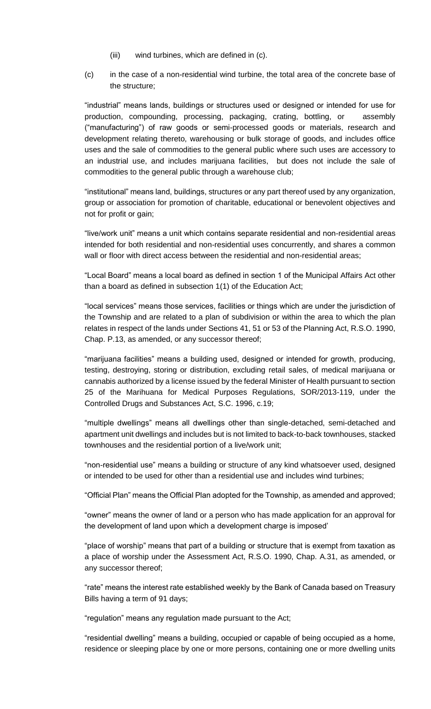- (iii) wind turbines, which are defined in (c).
- (c) in the case of a non-residential wind turbine, the total area of the concrete base of the structure;

"industrial" means lands, buildings or structures used or designed or intended for use for production, compounding, processing, packaging, crating, bottling, or assembly ("manufacturing") of raw goods or semi-processed goods or materials, research and development relating thereto, warehousing or bulk storage of goods, and includes office uses and the sale of commodities to the general public where such uses are accessory to an industrial use, and includes marijuana facilities, but does not include the sale of commodities to the general public through a warehouse club;

"institutional" means land, buildings, structures or any part thereof used by any organization, group or association for promotion of charitable, educational or benevolent objectives and not for profit or gain;

"live/work unit" means a unit which contains separate residential and non-residential areas intended for both residential and non-residential uses concurrently, and shares a common wall or floor with direct access between the residential and non-residential areas;

"Local Board" means a local board as defined in section 1 of the Municipal Affairs Act other than a board as defined in subsection 1(1) of the Education Act;

"local services" means those services, facilities or things which are under the jurisdiction of the Township and are related to a plan of subdivision or within the area to which the plan relates in respect of the lands under Sections 41, 51 or 53 of the Planning Act, R.S.O. 1990, Chap. P.13, as amended, or any successor thereof;

"marijuana facilities" means a building used, designed or intended for growth, producing, testing, destroying, storing or distribution, excluding retail sales, of medical marijuana or cannabis authorized by a license issued by the federal Minister of Health pursuant to section 25 of the Marihuana for Medical Purposes Regulations, SOR/2013-119, under the Controlled Drugs and Substances Act, S.C. 1996, c.19;

"multiple dwellings" means all dwellings other than single-detached, semi-detached and apartment unit dwellings and includes but is not limited to back-to-back townhouses, stacked townhouses and the residential portion of a live/work unit;

"non-residential use" means a building or structure of any kind whatsoever used, designed or intended to be used for other than a residential use and includes wind turbines;

"Official Plan" means the Official Plan adopted for the Township, as amended and approved;

"owner" means the owner of land or a person who has made application for an approval for the development of land upon which a development charge is imposed'

"place of worship" means that part of a building or structure that is exempt from taxation as a place of worship under the Assessment Act, R.S.O. 1990, Chap. A.31, as amended, or any successor thereof;

"rate" means the interest rate established weekly by the Bank of Canada based on Treasury Bills having a term of 91 days;

"regulation" means any regulation made pursuant to the Act;

"residential dwelling" means a building, occupied or capable of being occupied as a home, residence or sleeping place by one or more persons, containing one or more dwelling units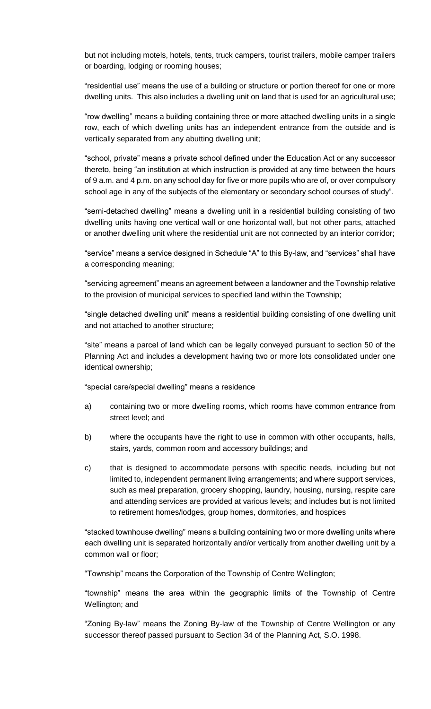but not including motels, hotels, tents, truck campers, tourist trailers, mobile camper trailers or boarding, lodging or rooming houses;

"residential use" means the use of a building or structure or portion thereof for one or more dwelling units. This also includes a dwelling unit on land that is used for an agricultural use;

"row dwelling" means a building containing three or more attached dwelling units in a single row, each of which dwelling units has an independent entrance from the outside and is vertically separated from any abutting dwelling unit;

"school, private" means a private school defined under the Education Act or any successor thereto, being "an institution at which instruction is provided at any time between the hours of 9 a.m. and 4 p.m. on any school day for five or more pupils who are of, or over compulsory school age in any of the subjects of the elementary or secondary school courses of study".

"semi-detached dwelling" means a dwelling unit in a residential building consisting of two dwelling units having one vertical wall or one horizontal wall, but not other parts, attached or another dwelling unit where the residential unit are not connected by an interior corridor;

"service" means a service designed in Schedule "A" to this By-law, and "services" shall have a corresponding meaning;

"servicing agreement" means an agreement between a landowner and the Township relative to the provision of municipal services to specified land within the Township;

"single detached dwelling unit" means a residential building consisting of one dwelling unit and not attached to another structure;

"site" means a parcel of land which can be legally conveyed pursuant to section 50 of the Planning Act and includes a development having two or more lots consolidated under one identical ownership;

"special care/special dwelling" means a residence

- a) containing two or more dwelling rooms, which rooms have common entrance from street level; and
- b) where the occupants have the right to use in common with other occupants, halls, stairs, yards, common room and accessory buildings; and
- c) that is designed to accommodate persons with specific needs, including but not limited to, independent permanent living arrangements; and where support services, such as meal preparation, grocery shopping, laundry, housing, nursing, respite care and attending services are provided at various levels; and includes but is not limited to retirement homes/lodges, group homes, dormitories, and hospices

"stacked townhouse dwelling" means a building containing two or more dwelling units where each dwelling unit is separated horizontally and/or vertically from another dwelling unit by a common wall or floor;

"Township" means the Corporation of the Township of Centre Wellington;

"township" means the area within the geographic limits of the Township of Centre Wellington; and

"Zoning By-law" means the Zoning By-law of the Township of Centre Wellington or any successor thereof passed pursuant to Section 34 of the Planning Act, S.O. 1998.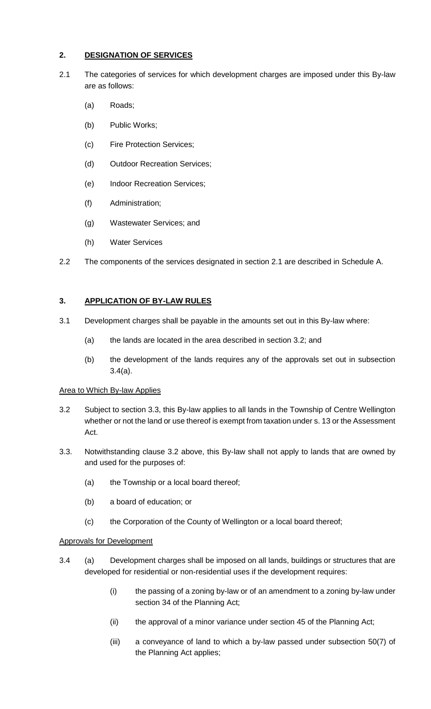# **2. DESIGNATION OF SERVICES**

- 2.1 The categories of services for which development charges are imposed under this By-law are as follows:
	- (a) Roads;
	- (b) Public Works;
	- (c) Fire Protection Services;
	- (d) Outdoor Recreation Services;
	- (e) Indoor Recreation Services;
	- (f) Administration;
	- (g) Wastewater Services; and
	- (h) Water Services
- 2.2 The components of the services designated in section 2.1 are described in Schedule A.

# **3. APPLICATION OF BY-LAW RULES**

- 3.1 Development charges shall be payable in the amounts set out in this By-law where:
	- (a) the lands are located in the area described in section 3.2; and
	- (b) the development of the lands requires any of the approvals set out in subsection 3.4(a).

# Area to Which By-law Applies

- 3.2 Subject to section 3.3, this By-law applies to all lands in the Township of Centre Wellington whether or not the land or use thereof is exempt from taxation under s. 13 or the Assessment Act.
- 3.3. Notwithstanding clause 3.2 above, this By-law shall not apply to lands that are owned by and used for the purposes of:
	- (a) the Township or a local board thereof;
	- (b) a board of education; or
	- (c) the Corporation of the County of Wellington or a local board thereof;

# Approvals for Development

- 3.4 (a) Development charges shall be imposed on all lands, buildings or structures that are developed for residential or non-residential uses if the development requires:
	- (i) the passing of a zoning by-law or of an amendment to a zoning by-law under section 34 of the Planning Act;
	- (ii) the approval of a minor variance under section 45 of the Planning Act;
	- (iii) a conveyance of land to which a by-law passed under subsection 50(7) of the Planning Act applies;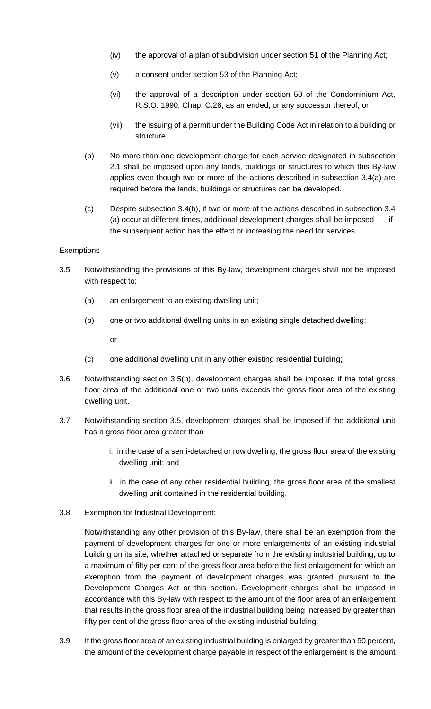- (iv) the approval of a plan of subdivision under section 51 of the Planning Act;
- (v) a consent under section 53 of the Planning Act;
- (vi) the approval of a description under section 50 of the Condominium Act, R.S.O. 1990, Chap. C.26, as amended, or any successor thereof; or
- (vii) the issuing of a permit under the Building Code Act in relation to a building or structure.
- (b) No more than one development charge for each service designated in subsection 2.1 shall be imposed upon any lands, buildings or structures to which this By-law applies even though two or more of the actions described in subsection 3.4(a) are required before the lands, buildings or structures can be developed.
- (c) Despite subsection 3.4(b), if two or more of the actions described in subsection 3.4 (a) occur at different times, additional development charges shall be imposed if the subsequent action has the effect or increasing the need for services.

## **Exemptions**

- 3.5 Notwithstanding the provisions of this By-law, development charges shall not be imposed with respect to:
	- (a) an enlargement to an existing dwelling unit;
	- (b) one or two additional dwelling units in an existing single detached dwelling;

or

- (c) one additional dwelling unit in any other existing residential building;
- 3.6 Notwithstanding section 3.5(b), development charges shall be imposed if the total gross floor area of the additional one or two units exceeds the gross floor area of the existing dwelling unit.
- 3.7 Notwithstanding section 3.5, development charges shall be imposed if the additional unit has a gross floor area greater than
	- i. in the case of a semi-detached or row dwelling, the gross floor area of the existing dwelling unit; and
	- ii. in the case of any other residential building, the gross floor area of the smallest dwelling unit contained in the residential building.
- 3.8 Exemption for Industrial Development:

Notwithstanding any other provision of this By-law, there shall be an exemption from the payment of development charges for one or more enlargements of an existing industrial building on its site, whether attached or separate from the existing industrial building, up to a maximum of fifty per cent of the gross floor area before the first enlargement for which an exemption from the payment of development charges was granted pursuant to the Development Charges Act or this section. Development charges shall be imposed in accordance with this By-law with respect to the amount of the floor area of an enlargement that results in the gross floor area of the industrial building being increased by greater than fifty per cent of the gross floor area of the existing industrial building.

3.9 If the gross floor area of an existing industrial building is enlarged by greater than 50 percent, the amount of the development charge payable in respect of the enlargement is the amount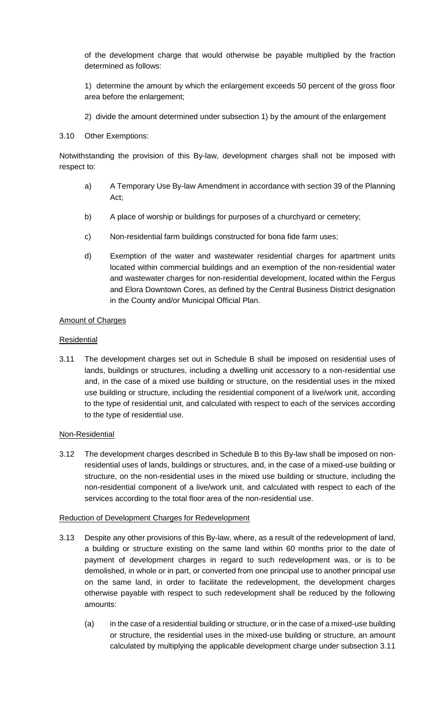of the development charge that would otherwise be payable multiplied by the fraction determined as follows:

1) determine the amount by which the enlargement exceeds 50 percent of the gross floor area before the enlargement;

2) divide the amount determined under subsection 1) by the amount of the enlargement

#### 3.10 Other Exemptions:

Notwithstanding the provision of this By-law, development charges shall not be imposed with respect to:

- a) A Temporary Use By-law Amendment in accordance with section 39 of the Planning Act;
- b) A place of worship or buildings for purposes of a churchyard or cemetery;
- c) Non-residential farm buildings constructed for bona fide farm uses;
- d) Exemption of the water and wastewater residential charges for apartment units located within commercial buildings and an exemption of the non-residential water and wastewater charges for non-residential development, located within the Fergus and Elora Downtown Cores, as defined by the Central Business District designation in the County and/or Municipal Official Plan.

#### Amount of Charges

#### **Residential**

3.11 The development charges set out in Schedule B shall be imposed on residential uses of lands, buildings or structures, including a dwelling unit accessory to a non-residential use and, in the case of a mixed use building or structure, on the residential uses in the mixed use building or structure, including the residential component of a live/work unit, according to the type of residential unit, and calculated with respect to each of the services according to the type of residential use.

#### Non-Residential

3.12 The development charges described in Schedule B to this By-law shall be imposed on nonresidential uses of lands, buildings or structures, and, in the case of a mixed-use building or structure, on the non-residential uses in the mixed use building or structure, including the non-residential component of a live/work unit, and calculated with respect to each of the services according to the total floor area of the non-residential use.

#### Reduction of Development Charges for Redevelopment

- 3.13 Despite any other provisions of this By-law, where, as a result of the redevelopment of land, a building or structure existing on the same land within 60 months prior to the date of payment of development charges in regard to such redevelopment was, or is to be demolished, in whole or in part, or converted from one principal use to another principal use on the same land, in order to facilitate the redevelopment, the development charges otherwise payable with respect to such redevelopment shall be reduced by the following amounts:
	- (a) in the case of a residential building or structure, or in the case of a mixed-use building or structure, the residential uses in the mixed-use building or structure, an amount calculated by multiplying the applicable development charge under subsection 3.11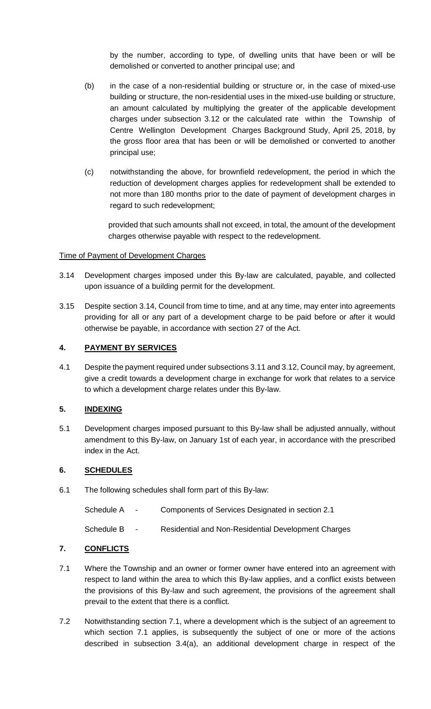by the number, according to type, of dwelling units that have been or will be demolished or converted to another principal use; and

- (b) in the case of a non-residential building or structure or, in the case of mixed-use building or structure, the non-residential uses in the mixed-use building or structure, an amount calculated by multiplying the greater of the applicable development charges under subsection 3.12 or the calculated rate within the Township of Centre Wellington Development Charges Background Study, April 25, 2018, by the gross floor area that has been or will be demolished or converted to another principal use;
- (c) notwithstanding the above, for brownfield redevelopment, the period in which the reduction of development charges applies for redevelopment shall be extended to not more than 180 months prior to the date of payment of development charges in regard to such redevelopment;

provided that such amounts shall not exceed, in total, the amount of the development charges otherwise payable with respect to the redevelopment.

#### Time of Payment of Development Charges

- 3.14 Development charges imposed under this By-law are calculated, payable, and collected upon issuance of a building permit for the development.
- 3.15 Despite section 3.14, Council from time to time, and at any time, may enter into agreements providing for all or any part of a development charge to be paid before or after it would otherwise be payable, in accordance with section 27 of the Act.

## **4. PAYMENT BY SERVICES**

4.1 Despite the payment required under subsections 3.11 and 3.12, Council may, by agreement, give a credit towards a development charge in exchange for work that relates to a service to which a development charge relates under this By-law.

#### **5. INDEXING**

5.1 Development charges imposed pursuant to this By-law shall be adjusted annually, without amendment to this By-law, on January 1st of each year, in accordance with the prescribed index in the Act.

#### **6. SCHEDULES**

- 6.1 The following schedules shall form part of this By-law:
	- Schedule A Components of Services Designated in section 2.1

Schedule B - Residential and Non-Residential Development Charges

# **7. CONFLICTS**

- 7.1 Where the Township and an owner or former owner have entered into an agreement with respect to land within the area to which this By-law applies, and a conflict exists between the provisions of this By-law and such agreement, the provisions of the agreement shall prevail to the extent that there is a conflict.
- 7.2 Notwithstanding section 7.1, where a development which is the subject of an agreement to which section 7.1 applies, is subsequently the subject of one or more of the actions described in subsection 3.4(a), an additional development charge in respect of the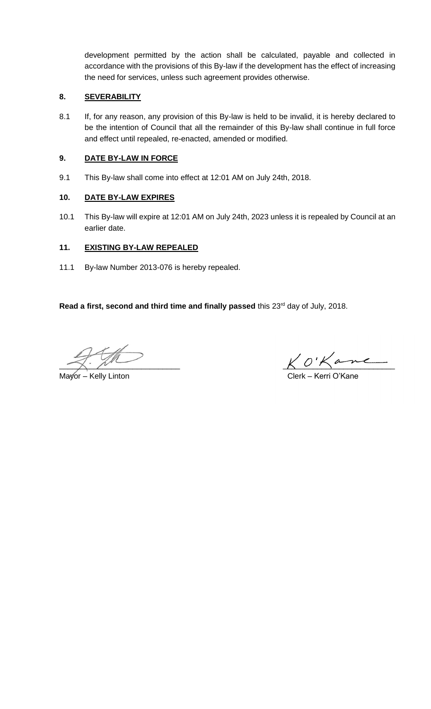development permitted by the action shall be calculated, payable and collected in accordance with the provisions of this By-law if the development has the effect of increasing the need for services, unless such agreement provides otherwise.

## **8. SEVERABILITY**

8.1 If, for any reason, any provision of this By-law is held to be invalid, it is hereby declared to be the intention of Council that all the remainder of this By-law shall continue in full force and effect until repealed, re-enacted, amended or modified.

### **9. DATE BY-LAW IN FORCE**

9.1 This By-law shall come into effect at 12:01 AM on July 24th, 2018.

## **10. DATE BY-LAW EXPIRES**

10.1 This By-law will expire at 12:01 AM on July 24th, 2023 unless it is repealed by Council at an earlier date.

## **11. EXISTING BY-LAW REPEALED**

11.1 By-law Number 2013-076 is hereby repealed.

Read a first, second and third time and finally passed this 23<sup>rd</sup> day of July, 2018.

 $K$  O'Kan

Mayor – Kelly Linton **Clerk – Kerri O'Kane**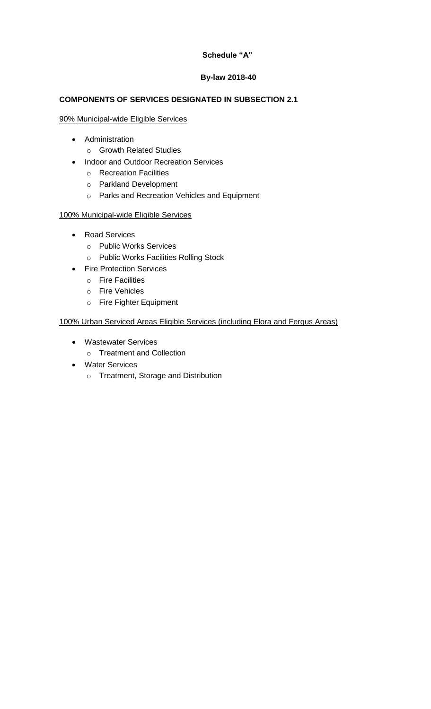## **Schedule "A"**

## **By-law 2018-40**

# **COMPONENTS OF SERVICES DESIGNATED IN SUBSECTION 2.1**

### 90% Municipal-wide Eligible Services

- Administration
	- o Growth Related Studies
- Indoor and Outdoor Recreation Services
	- o Recreation Facilities
	- o Parkland Development
	- o Parks and Recreation Vehicles and Equipment

# 100% Municipal-wide Eligible Services

- Road Services
	- o Public Works Services
	- o Public Works Facilities Rolling Stock
- Fire Protection Services
	- o Fire Facilities
	- o Fire Vehicles
	- o Fire Fighter Equipment

## 100% Urban Serviced Areas Eligible Services (including Elora and Fergus Areas)

- Wastewater Services
	- o Treatment and Collection
- Water Services
	- o Treatment, Storage and Distribution